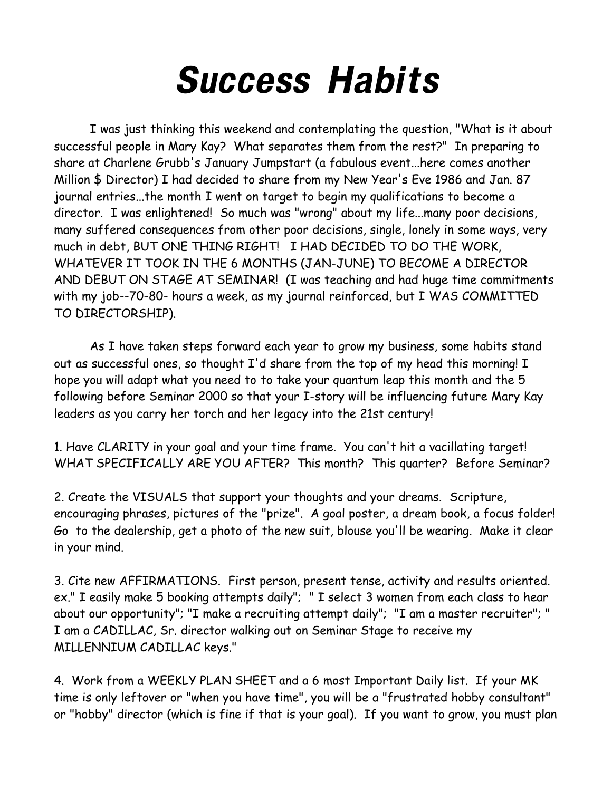## Success Habits

I was just thinking this weekend and contemplating the question, "What is it about successful people in Mary Kay? What separates them from the rest?" In preparing to share at Charlene Grubb's January Jumpstart (a fabulous event...here comes another Million \$ Director) I had decided to share from my New Year's Eve 1986 and Jan. 87 journal entries...the month I went on target to begin my qualifications to become a director. I was enlightened! So much was "wrong" about my life...many poor decisions, many suffered consequences from other poor decisions, single, lonely in some ways, very much in debt, BUT ONE THING RIGHT! I HAD DECIDED TO DO THE WORK, WHATEVER IT TOOK IN THE 6 MONTHS (JAN-JUNE) TO BECOME A DIRECTOR AND DEBUT ON STAGE AT SEMINAR! (I was teaching and had huge time commitments with my job--70-80- hours a week, as my journal reinforced, but I WAS COMMITTED TO DIRECTORSHIP).

As I have taken steps forward each year to grow my business, some habits stand out as successful ones, so thought I'd share from the top of my head this morning! I hope you will adapt what you need to to take your quantum leap this month and the 5 following before Seminar 2000 so that your I-story will be influencing future Mary Kay leaders as you carry her torch and her legacy into the 21st century!

1. Have CLARITY in your goal and your time frame. You can't hit a vacillating target! WHAT SPECIFICALLY ARE YOU AFTER? This month? This quarter? Before Seminar?

2. Create the VISUALS that support your thoughts and your dreams. Scripture, encouraging phrases, pictures of the "prize". A goal poster, a dream book, a focus folder! Go to the dealership, get a photo of the new suit, blouse you'll be wearing. Make it clear in your mind.

3. Cite new AFFIRMATIONS. First person, present tense, activity and results oriented. ex." I easily make 5 booking attempts daily"; " I select 3 women from each class to hear about our opportunity"; "I make a recruiting attempt daily"; "I am a master recruiter"; " I am a CADILLAC, Sr. director walking out on Seminar Stage to receive my MILLENNIUM CADILLAC keys."

4. Work from a WEEKLY PLAN SHEET and a 6 most Important Daily list. If your MK time is only leftover or "when you have time", you will be a "frustrated hobby consultant" or "hobby" director (which is fine if that is your goal). If you want to grow, you must plan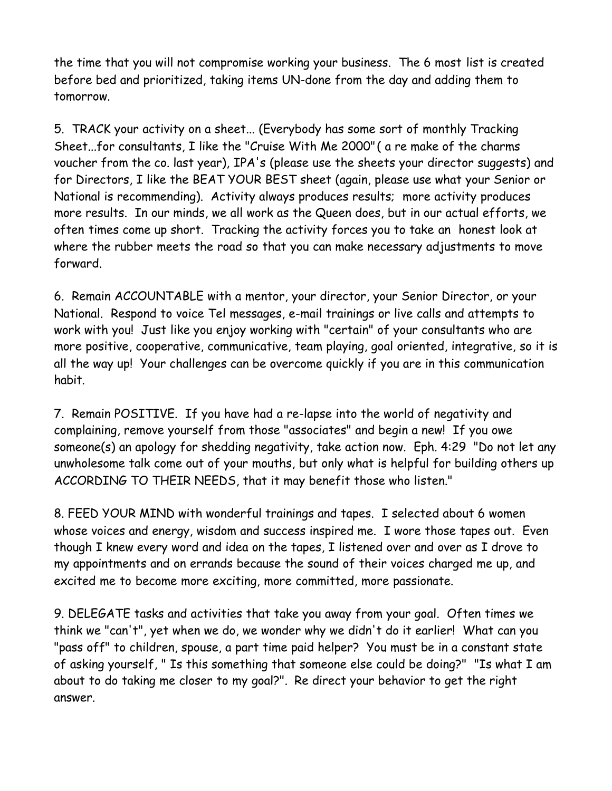the time that you will not compromise working your business. The 6 most list is created before bed and prioritized, taking items UN-done from the day and adding them to tomorrow.

5. TRACK your activity on a sheet... (Everybody has some sort of monthly Tracking Sheet...for consultants, I like the "Cruise With Me 2000" ( a re make of the charms voucher from the co. last year), IPA's (please use the sheets your director suggests) and for Directors, I like the BEAT YOUR BEST sheet (again, please use what your Senior or National is recommending). Activity always produces results; more activity produces more results. In our minds, we all work as the Queen does, but in our actual efforts, we often times come up short. Tracking the activity forces you to take an honest look at where the rubber meets the road so that you can make necessary adjustments to move forward.

6. Remain ACCOUNTABLE with a mentor, your director, your Senior Director, or your National. Respond to voice Tel messages, e-mail trainings or live calls and attempts to work with you! Just like you enjoy working with "certain" of your consultants who are more positive, cooperative, communicative, team playing, goal oriented, integrative, so it is all the way up! Your challenges can be overcome quickly if you are in this communication habit.

7. Remain POSITIVE. If you have had a re-lapse into the world of negativity and complaining, remove yourself from those "associates" and begin a new! If you owe someone(s) an apology for shedding negativity, take action now. Eph. 4:29 "Do not let any unwholesome talk come out of your mouths, but only what is helpful for building others up ACCORDING TO THEIR NEEDS, that it may benefit those who listen."

8. FEED YOUR MIND with wonderful trainings and tapes. I selected about 6 women whose voices and energy, wisdom and success inspired me. I wore those tapes out. Even though I knew every word and idea on the tapes, I listened over and over as I drove to my appointments and on errands because the sound of their voices charged me up, and excited me to become more exciting, more committed, more passionate.

9. DELEGATE tasks and activities that take you away from your goal. Often times we think we "can't", yet when we do, we wonder why we didn't do it earlier! What can you "pass off" to children, spouse, a part time paid helper? You must be in a constant state of asking yourself, " Is this something that someone else could be doing?" "Is what I am about to do taking me closer to my goal?". Re direct your behavior to get the right answer.